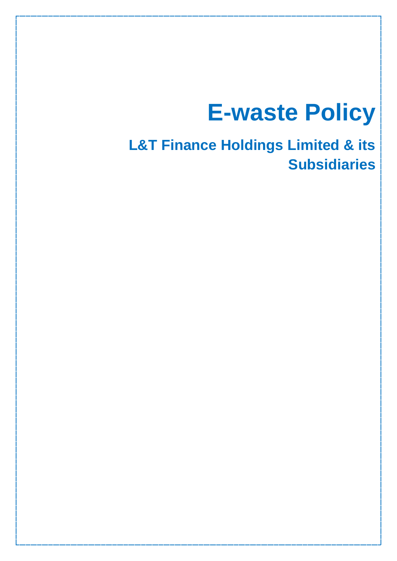# **E-waste Policy**

**L&T Finance Holdings Limited & its Subsidiaries**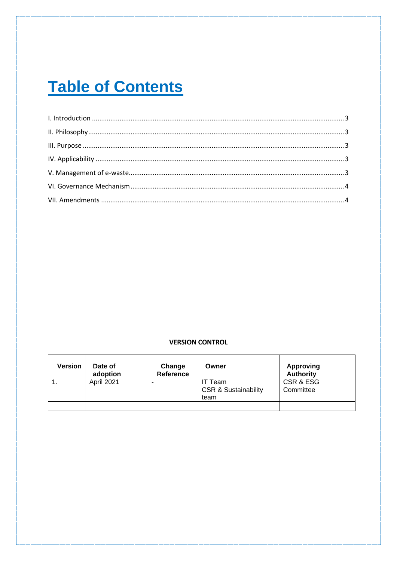## **Table of Contents**

### **VERSION CONTROL**

| <b>Version</b> | Date of<br>adoption | Change<br><b>Reference</b> | Owner                                              | <b>Approving</b><br><b>Authority</b> |
|----------------|---------------------|----------------------------|----------------------------------------------------|--------------------------------------|
|                | April 2021          |                            | IT Team<br><b>CSR &amp; Sustainability</b><br>team | CSR & ESG<br>Committee               |
|                |                     |                            |                                                    |                                      |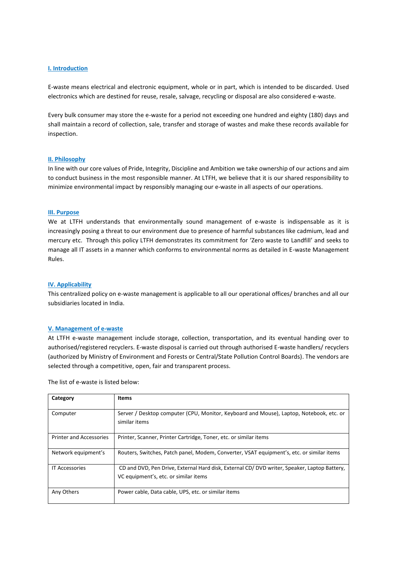#### <span id="page-2-0"></span>**I. Introduction**

E-waste means electrical and electronic equipment, whole or in part, which is intended to be discarded. Used electronics which are destined for reuse, resale, salvage, recycling or disposal are also considered e-waste.

Every bulk consumer may store the e-waste for a period not exceeding one hundred and eighty (180) days and shall maintain a record of collection, sale, transfer and storage of wastes and make these records available for inspection.

#### <span id="page-2-1"></span>**II. Philosophy**

In line with our core values of Pride, Integrity, Discipline and Ambition we take ownership of our actions and aim to conduct business in the most responsible manner. At LTFH, we believe that it is our shared responsibility to minimize environmental impact by responsibly managing our e-waste in all aspects of our operations.

#### <span id="page-2-2"></span>**III. Purpose**

We at LTFH understands that environmentally sound management of e-waste is indispensable as it is increasingly posing a threat to our environment due to presence of harmful substances like cadmium, lead and mercury etc. Through this policy LTFH demonstrates its commitment for 'Zero waste to Landfill' and seeks to manage all IT assets in a manner which conforms to environmental norms as detailed in E-waste Management Rules.

#### <span id="page-2-3"></span>**IV. Applicability**

This centralized policy on e-waste management is applicable to all our operational offices/ branches and all our subsidiaries located in India.

#### <span id="page-2-4"></span>**V. Management of e-waste**

At LTFH e-waste management include storage, collection, transportation, and its eventual handing over to authorised/registered recyclers. E-waste disposal is carried out through authorised E-waste handlers/ recyclers (authorized by Ministry of Environment and Forests or Central/State Pollution Control Boards). The vendors are selected through a competitive, open, fair and transparent process.

The list of e-waste is listed below:

| Category                       | <b>Items</b>                                                                                                                         |
|--------------------------------|--------------------------------------------------------------------------------------------------------------------------------------|
| Computer                       | Server / Desktop computer (CPU, Monitor, Keyboard and Mouse), Laptop, Notebook, etc. or<br>similar items                             |
| <b>Printer and Accessories</b> | Printer, Scanner, Printer Cartridge, Toner, etc. or similar items                                                                    |
| Network equipment's            | Routers, Switches, Patch panel, Modem, Converter, VSAT equipment's, etc. or similar items                                            |
| <b>IT Accessories</b>          | CD and DVD, Pen Drive, External Hard disk, External CD/DVD writer, Speaker, Laptop Battery,<br>VC equipment's, etc. or similar items |
| Any Others                     | Power cable, Data cable, UPS, etc. or similar items                                                                                  |